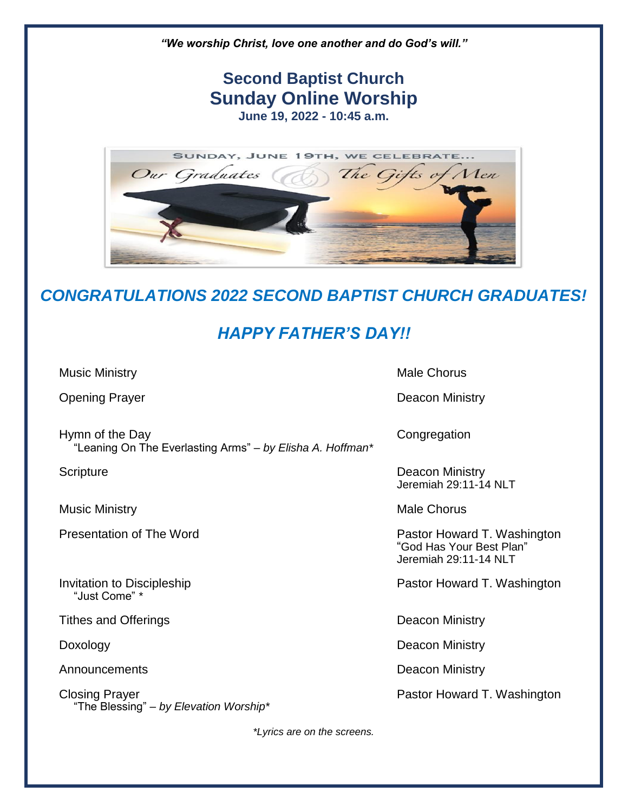

## *CONGRATULATIONS 2022 SECOND BAPTIST CHURCH GRADUATES!*

## *HAPPY FATHER'S DAY!!*

Music Ministry **Music Ministry** Music Ministry **Music Ministry** 

**Opening Prayer Contract Contract Contract Contract Contract Contract Contract Contract Contract Contract Contract Contract Contract Contract Contract Contract Contract Contract Contract Contract Contract Contract Contract** 

Hymn of the Day **Congregation** "Leaning On The Everlasting Arms" – *by Elisha A. Hoffman\**

Music Ministry **Music Ministry** Music Ministry

"Just Come" *\**

Tithes and Offerings **Deacon Ministry** Deacon Ministry

Announcements **Deacon Ministry** 

Closing Prayer **Pastor Howard T. Washington** "The Blessing" – *by Elevation Worship\**

Scripture **Deacon Ministry** Jeremiah 29:11-14 NLT

Presentation of The Word **Presentation of The Word Pastor Howard T. Washington** "God Has Your Best Plan" Jeremiah 29:11-14 NLT

Invitation to Discipleship **Pastor Howard T. Washington** 

Doxology Doxology Deacon Ministry

*\*Lyrics are on the screens.*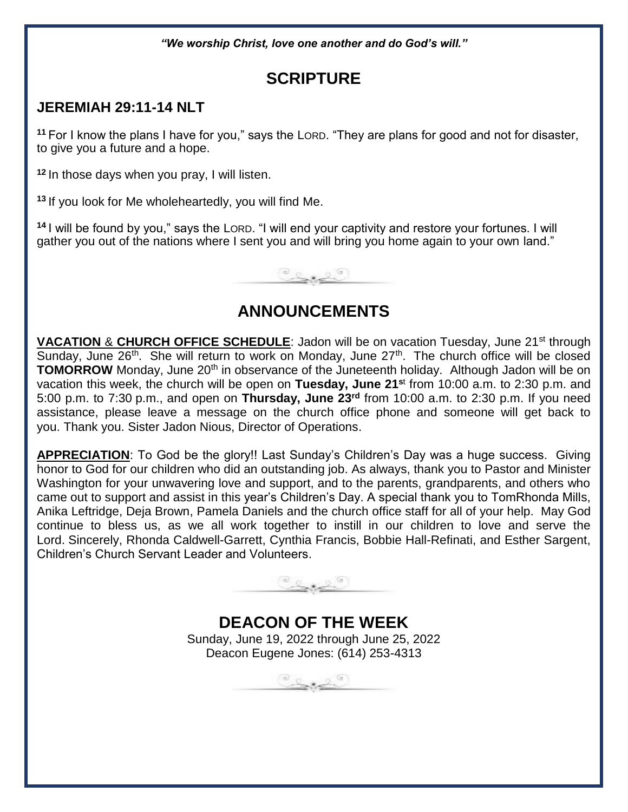*"We worship Christ, love one another and do God's will."*

## **SCRIPTURE**

### **JEREMIAH 29:11-14 NLT**

**<sup>11</sup>** For I know the plans I have for you," says the LORD. "They are plans for good and not for disaster, to give you a future and a hope.

**<sup>12</sup>** In those days when you pray, I will listen.

**<sup>13</sup>** If you look for Me wholeheartedly, you will find Me.

**<sup>14</sup>** I will be found by you," says the LORD. "I will end your captivity and restore your fortunes. I will gather you out of the nations where I sent you and will bring you home again to your own land."



## **ANNOUNCEMENTS**

**VACATION & CHURCH OFFICE SCHEDULE:** Jadon will be on vacation Tuesday, June 21<sup>st</sup> through Sunday, June 26<sup>th</sup>. She will return to work on Monday, June 27<sup>th</sup>. The church office will be closed **TOMORROW** Monday, June 20<sup>th</sup> in observance of the Juneteenth holiday. Although Jadon will be on vacation this week, the church will be open on **Tuesday, June 21<sup>s</sup>**<sup>t</sup> from 10:00 a.m. to 2:30 p.m. and 5:00 p.m. to 7:30 p.m., and open on **Thursday, June 23rd** from 10:00 a.m. to 2:30 p.m. If you need assistance, please leave a message on the church office phone and someone will get back to you. Thank you. Sister Jadon Nious, Director of Operations.

**APPRECIATION**: To God be the glory!! Last Sunday's Children's Day was a huge success. Giving honor to God for our children who did an outstanding job. As always, thank you to Pastor and Minister Washington for your unwavering love and support, and to the parents, grandparents, and others who came out to support and assist in this year's Children's Day. A special thank you to TomRhonda Mills, Anika Leftridge, Deja Brown, Pamela Daniels and the church office staff for all of your help. May God continue to bless us, as we all work together to instill in our children to love and serve the Lord. Sincerely, Rhonda Caldwell-Garrett, Cynthia Francis, Bobbie Hall-Refinati, and Esther Sargent, Children's Church Servant Leader and Volunteers.



**DEACON OF THE WEEK** Sunday, June 19, 2022 through June 25, 2022 Deacon Eugene Jones: (614) 253-4313

 $\underbrace{\circ\, \underline{\circ\,} \underline{\circ\,} \underline{\circ\,} \underline{\circ\,}}$